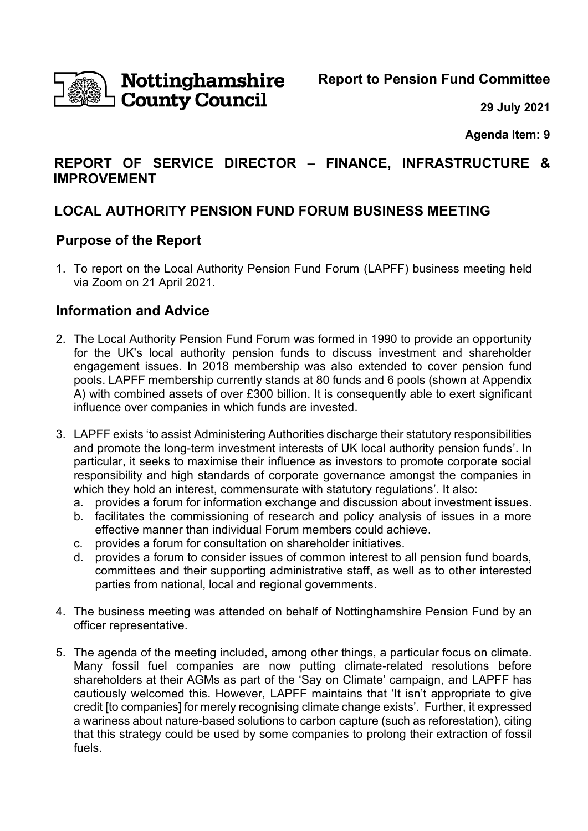

# **Nottinghamshire<br>I County Council**

**Report to Pension Fund Committee**

**29 July 2021**

**Agenda Item: 9**

## **REPORT OF SERVICE DIRECTOR – FINANCE, INFRASTRUCTURE & IMPROVEMENT**

# **LOCAL AUTHORITY PENSION FUND FORUM BUSINESS MEETING**

## **Purpose of the Report**

1. To report on the Local Authority Pension Fund Forum (LAPFF) business meeting held via Zoom on 21 April 2021.

## **Information and Advice**

- 2. The Local Authority Pension Fund Forum was formed in 1990 to provide an opportunity for the UK's local authority pension funds to discuss investment and shareholder engagement issues. In 2018 membership was also extended to cover pension fund pools. LAPFF membership currently stands at 80 funds and 6 pools (shown at Appendix A) with combined assets of over £300 billion. It is consequently able to exert significant influence over companies in which funds are invested.
- 3. LAPFF exists 'to assist Administering Authorities discharge their statutory responsibilities and promote the long-term investment interests of UK local authority pension funds'. In particular, it seeks to maximise their influence as investors to promote corporate social responsibility and high standards of corporate governance amongst the companies in which they hold an interest, commensurate with statutory regulations'. It also:
	- a. provides a forum for information exchange and discussion about investment issues.
	- b. facilitates the commissioning of research and policy analysis of issues in a more effective manner than individual Forum members could achieve.
	- c. provides a forum for consultation on shareholder initiatives.
	- d. provides a forum to consider issues of common interest to all pension fund boards, committees and their supporting administrative staff, as well as to other interested parties from national, local and regional governments.
- 4. The business meeting was attended on behalf of Nottinghamshire Pension Fund by an officer representative.
- 5. The agenda of the meeting included, among other things, a particular focus on climate. Many fossil fuel companies are now putting climate-related resolutions before shareholders at their AGMs as part of the 'Say on Climate' campaign, and LAPFF has cautiously welcomed this. However, LAPFF maintains that 'It isn't appropriate to give credit [to companies] for merely recognising climate change exists'. Further, it expressed a wariness about nature-based solutions to carbon capture (such as reforestation), citing that this strategy could be used by some companies to prolong their extraction of fossil fuels.